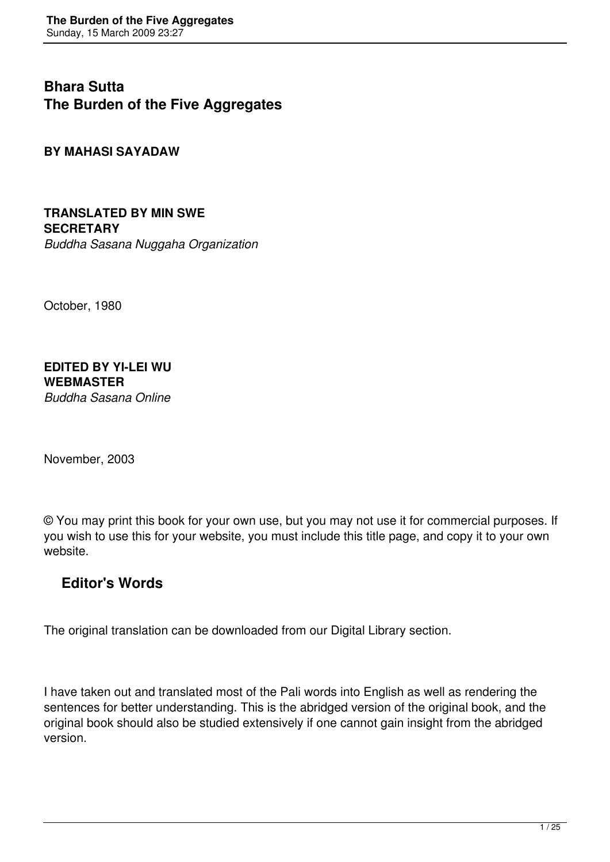**Bhara Sutta The Burden of the Five Aggregates** 

**BY MAHASI SAYADAW** 

**TRANSLATED BY MIN SWE SECRETARY** *Buddha Sasana Nuggaha Organization*

October, 1980

#### **EDITED BY YI-LEI WU WEBMASTER** *Buddha Sasana Online*

November, 2003

© You may print this book for your own use, but you may not use it for commercial purposes. If you wish to use this for your website, you must include this title page, and copy it to your own website.

# **Editor's Words**

The original translation can be downloaded from our Digital Library section.

I have taken out and translated most of the Pali words into English as well as rendering the sentences for better understanding. This is the abridged version of the original book, and the original book should also be studied extensively if one cannot gain insight from the abridged version.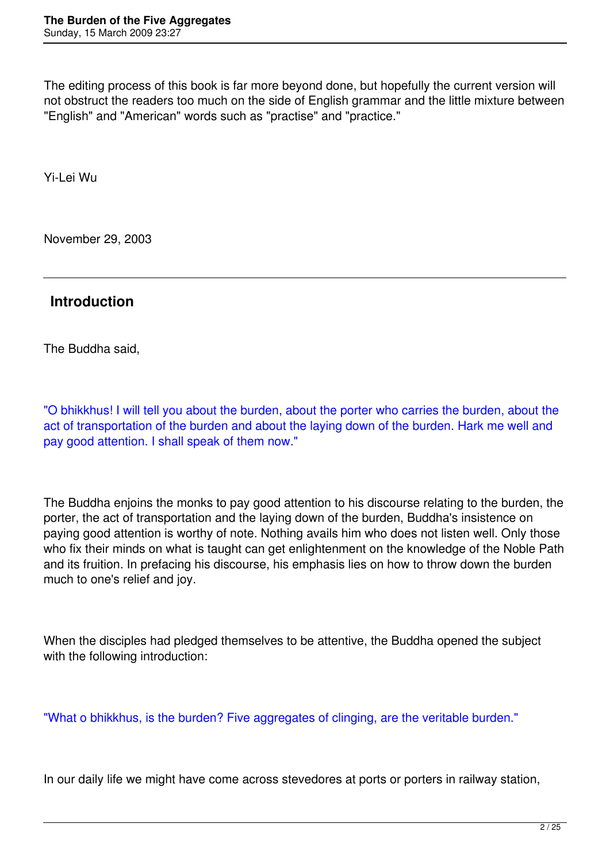The editing process of this book is far more beyond done, but hopefully the current version will not obstruct the readers too much on the side of English grammar and the little mixture between "English" and "American" words such as "practise" and "practice."

Yi-Lei Wu

November 29, 2003

## **Introduction**

The Buddha said,

"O bhikkhus! I will tell you about the burden, about the porter who carries the burden, about the act of transportation of the burden and about the laying down of the burden. Hark me well and pay good attention. I shall speak of them now."

The Buddha enjoins the monks to pay good attention to his discourse relating to the burden, the porter, the act of transportation and the laying down of the burden, Buddha's insistence on paying good attention is worthy of note. Nothing avails him who does not listen well. Only those who fix their minds on what is taught can get enlightenment on the knowledge of the Noble Path and its fruition. In prefacing his discourse, his emphasis lies on how to throw down the burden much to one's relief and joy.

When the disciples had pledged themselves to be attentive, the Buddha opened the subject with the following introduction:

"What o bhikkhus, is the burden? Five aggregates of clinging, are the veritable burden."

In our daily life we might have come across stevedores at ports or porters in railway station,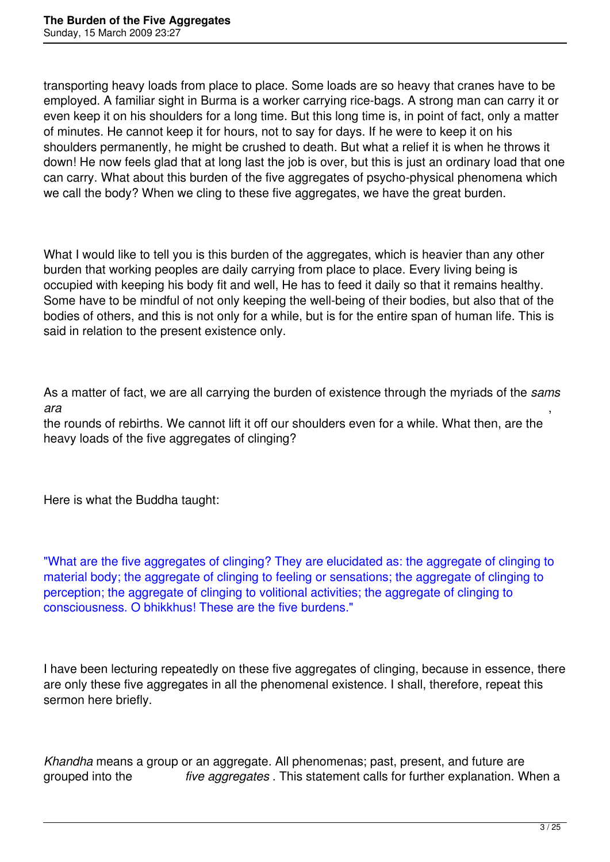transporting heavy loads from place to place. Some loads are so heavy that cranes have to be employed. A familiar sight in Burma is a worker carrying rice-bags. A strong man can carry it or even keep it on his shoulders for a long time. But this long time is, in point of fact, only a matter of minutes. He cannot keep it for hours, not to say for days. If he were to keep it on his shoulders permanently, he might be crushed to death. But what a relief it is when he throws it down! He now feels glad that at long last the job is over, but this is just an ordinary load that one can carry. What about this burden of the five aggregates of psycho-physical phenomena which we call the body? When we cling to these five aggregates, we have the great burden.

What I would like to tell you is this burden of the aggregates, which is heavier than any other burden that working peoples are daily carrying from place to place. Every living being is occupied with keeping his body fit and well, He has to feed it daily so that it remains healthy. Some have to be mindful of not only keeping the well-being of their bodies, but also that of the bodies of others, and this is not only for a while, but is for the entire span of human life. This is said in relation to the present existence only.

As a matter of fact, we are all carrying the burden of existence through the myriads of the *sams ara* ,

the rounds of rebirths. We cannot lift it off our shoulders even for a while. What then, are the heavy loads of the five aggregates of clinging?

Here is what the Buddha taught:

"What are the five aggregates of clinging? They are elucidated as: the aggregate of clinging to material body; the aggregate of clinging to feeling or sensations; the aggregate of clinging to perception; the aggregate of clinging to volitional activities; the aggregate of clinging to consciousness. O bhikkhus! These are the five burdens."

I have been lecturing repeatedly on these five aggregates of clinging, because in essence, there are only these five aggregates in all the phenomenal existence. I shall, therefore, repeat this sermon here briefly.

*Khandha* means a group or an aggregate. All phenomenas; past, present, and future are grouped into the *five aggregates* . This statement calls for further explanation. When a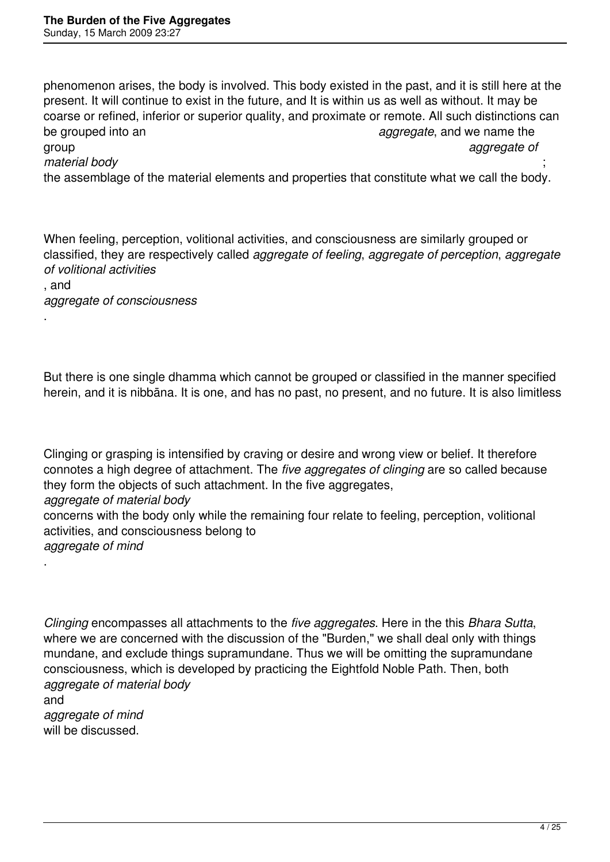phenomenon arises, the body is involved. This body existed in the past, and it is still here at the present. It will continue to exist in the future, and It is within us as well as without. It may be coarse or refined, inferior or superior quality, and proximate or remote. All such distinctions can be grouped into an *aggregate*, and we name the group *aggregate of material body* ; the assemblage of the material elements and properties that constitute what we call the body.

When feeling, perception, volitional activities, and consciousness are similarly grouped or classified, they are respectively called *aggregate of feeling*, *aggregate of perception*, *aggregate of volitional activities* , and *aggregate of consciousness*

But there is one single dhamma which cannot be grouped or classified in the manner specified herein, and it is nibbāna. It is one, and has no past, no present, and no future. It is also limitless

Clinging or grasping is intensified by craving or desire and wrong view or belief. It therefore connotes a high degree of attachment. The *five aggregates of clinging* are so called because they form the objects of such attachment. In the five aggregates, *aggregate of material body*  concerns with the body only while the remaining four relate to feeling, perception, volitional activities, and consciousness belong to *aggregate of mind* 

*Clinging* encompasses all attachments to the *five aggregates*. Here in the this *Bhara Sutta*, where we are concerned with the discussion of the "Burden," we shall deal only with things mundane, and exclude things supramundane. Thus we will be omitting the supramundane consciousness, which is developed by practicing the Eightfold Noble Path. Then, both *aggregate of material body* 

and *aggregate of mind*  will be discussed.

.

.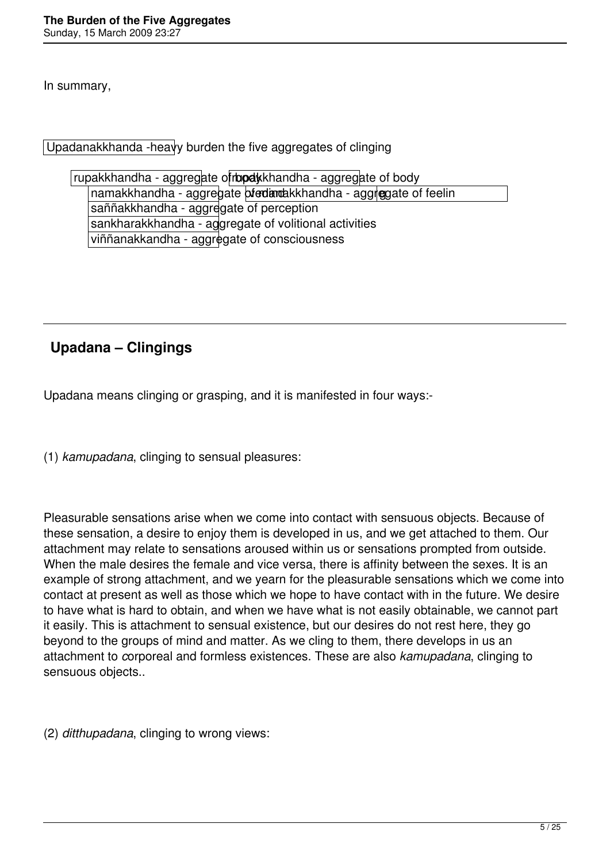In summary,

Upadanakkhanda -heavy burden the five aggregates of clinging

rupakkhandha - aggregate of body khandha - aggregate of body namakkhandha - aggregate of edandakkhandha - aggregate of feelin saññakkhandha - aggregate of perception sankharakkhandha - aggregate of volitional activities viññanakkandha - aggregate of consciousness

# **Upadana – Clingings**

Upadana means clinging or grasping, and it is manifested in four ways:-

(1) *kamupadana*, clinging to sensual pleasures:

Pleasurable sensations arise when we come into contact with sensuous objects. Because of these sensation, a desire to enjoy them is developed in us, and we get attached to them. Our attachment may relate to sensations aroused within us or sensations prompted from outside. When the male desires the female and vice versa, there is affinity between the sexes. It is an example of strong attachment, and we yearn for the pleasurable sensations which we come into contact at present as well as those which we hope to have contact with in the future. We desire to have what is hard to obtain, and when we have what is not easily obtainable, we cannot part it easily. This is attachment to sensual existence, but our desires do not rest here, they go beyond to the groups of mind and matter. As we cling to them, there develops in us an attachment to *c*orporeal and formless existences. These are also *kamupadana*, clinging to sensuous objects..

(2) *ditthupadana*, clinging to wrong views: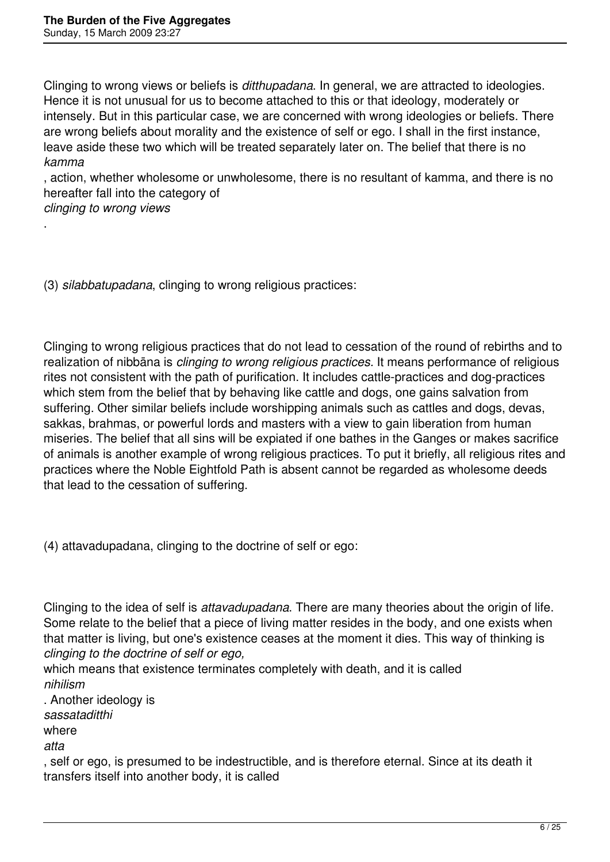Clinging to wrong views or beliefs is *ditthupadana*. In general, we are attracted to ideologies. Hence it is not unusual for us to become attached to this or that ideology, moderately or intensely. But in this particular case, we are concerned with wrong ideologies or beliefs. There are wrong beliefs about morality and the existence of self or ego. I shall in the first instance, leave aside these two which will be treated separately later on. The belief that there is no *kamma*

, action, whether wholesome or unwholesome, there is no resultant of kamma, and there is no hereafter fall into the category of

*clinging to wrong views* 

.

(3) *silabbatupadana*, clinging to wrong religious practices:

Clinging to wrong religious practices that do not lead to cessation of the round of rebirths and to realization of nibbāna is *clinging to wrong religious practices.* It means performance of religious rites not consistent with the path of purification. It includes cattle-practices and dog-practices which stem from the belief that by behaving like cattle and dogs, one gains salvation from suffering. Other similar beliefs include worshipping animals such as cattles and dogs, devas, sakkas, brahmas, or powerful lords and masters with a view to gain liberation from human miseries. The belief that all sins will be expiated if one bathes in the Ganges or makes sacrifice of animals is another example of wrong religious practices. To put it briefly, all religious rites and practices where the Noble Eightfold Path is absent cannot be regarded as wholesome deeds that lead to the cessation of suffering.

(4) attavadupadana, clinging to the doctrine of self or ego:

Clinging to the idea of self is *attavadupadana*. There are many theories about the origin of life. Some relate to the belief that a piece of living matter resides in the body, and one exists when that matter is living, but one's existence ceases at the moment it dies. This way of thinking is *clinging to the doctrine of self or ego,*

which means that existence terminates completely with death, and it is called *nihilism*

. Another ideology is

*sassataditthi*

where

*atta*

, self or ego, is presumed to be indestructible, and is therefore eternal. Since at its death it transfers itself into another body, it is called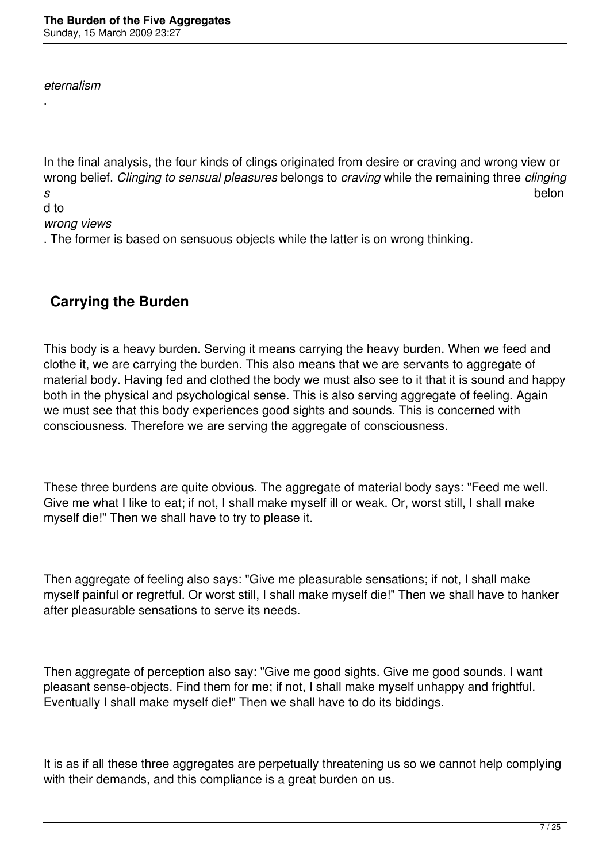*eternalism*

.

In the final analysis, the four kinds of clings originated from desire or craving and wrong view or wrong belief. *Clinging to sensual pleasures* belongs to *craving* while the remaining three *clinging s* belon d to

### *wrong views*

. The former is based on sensuous objects while the latter is on wrong thinking.

## **Carrying the Burden**

This body is a heavy burden. Serving it means carrying the heavy burden. When we feed and clothe it, we are carrying the burden. This also means that we are servants to aggregate of material body. Having fed and clothed the body we must also see to it that it is sound and happy both in the physical and psychological sense. This is also serving aggregate of feeling. Again we must see that this body experiences good sights and sounds. This is concerned with consciousness. Therefore we are serving the aggregate of consciousness.

These three burdens are quite obvious. The aggregate of material body says: "Feed me well. Give me what I like to eat; if not, I shall make myself ill or weak. Or, worst still, I shall make myself die!" Then we shall have to try to please it.

Then aggregate of feeling also says: "Give me pleasurable sensations; if not, I shall make myself painful or regretful. Or worst still, I shall make myself die!" Then we shall have to hanker after pleasurable sensations to serve its needs.

Then aggregate of perception also say: "Give me good sights. Give me good sounds. I want pleasant sense-objects. Find them for me; if not, I shall make myself unhappy and frightful. Eventually I shall make myself die!" Then we shall have to do its biddings.

It is as if all these three aggregates are perpetually threatening us so we cannot help complying with their demands, and this compliance is a great burden on us.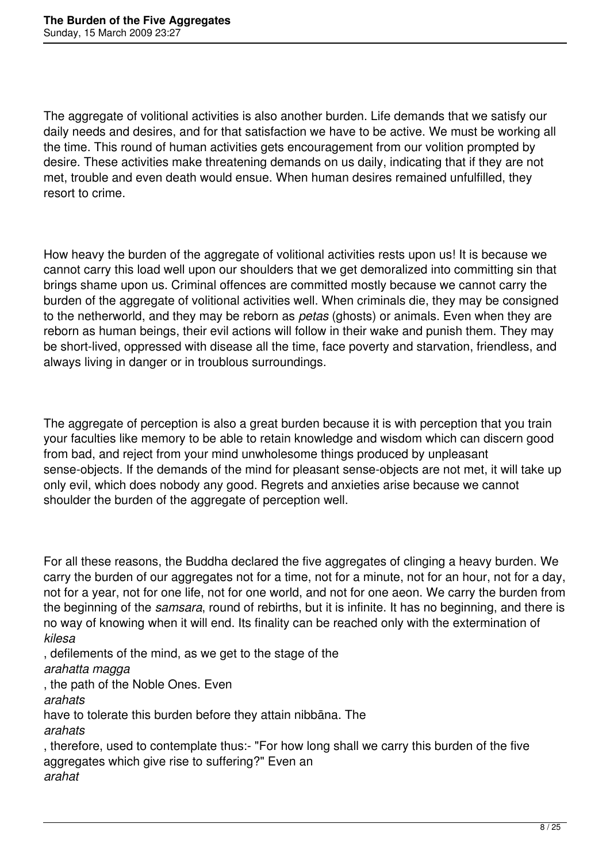The aggregate of volitional activities is also another burden. Life demands that we satisfy our daily needs and desires, and for that satisfaction we have to be active. We must be working all the time. This round of human activities gets encouragement from our volition prompted by desire. These activities make threatening demands on us daily, indicating that if they are not met, trouble and even death would ensue. When human desires remained unfulfilled, they resort to crime.

How heavy the burden of the aggregate of volitional activities rests upon us! It is because we cannot carry this load well upon our shoulders that we get demoralized into committing sin that brings shame upon us. Criminal offences are committed mostly because we cannot carry the burden of the aggregate of volitional activities well. When criminals die, they may be consigned to the netherworld, and they may be reborn as *petas* (ghosts) or animals. Even when they are reborn as human beings, their evil actions will follow in their wake and punish them. They may be short-lived, oppressed with disease all the time, face poverty and starvation, friendless, and always living in danger or in troublous surroundings.

The aggregate of perception is also a great burden because it is with perception that you train your faculties like memory to be able to retain knowledge and wisdom which can discern good from bad, and reject from your mind unwholesome things produced by unpleasant sense-objects. If the demands of the mind for pleasant sense-objects are not met, it will take up only evil, which does nobody any good. Regrets and anxieties arise because we cannot shoulder the burden of the aggregate of perception well.

For all these reasons, the Buddha declared the five aggregates of clinging a heavy burden. We carry the burden of our aggregates not for a time, not for a minute, not for an hour, not for a day, not for a year, not for one life, not for one world, and not for one aeon. We carry the burden from the beginning of the *samsara*, round of rebirths, but it is infinite. It has no beginning, and there is no way of knowing when it will end. Its finality can be reached only with the extermination of *kilesa*

, defilements of the mind, as we get to the stage of the

#### *arahatta magga*

, the path of the Noble Ones. Even

*arahats*

have to tolerate this burden before they attain nibbāna. The

*arahats*

, therefore, used to contemplate thus:- "For how long shall we carry this burden of the five aggregates which give rise to suffering?" Even an *arahat*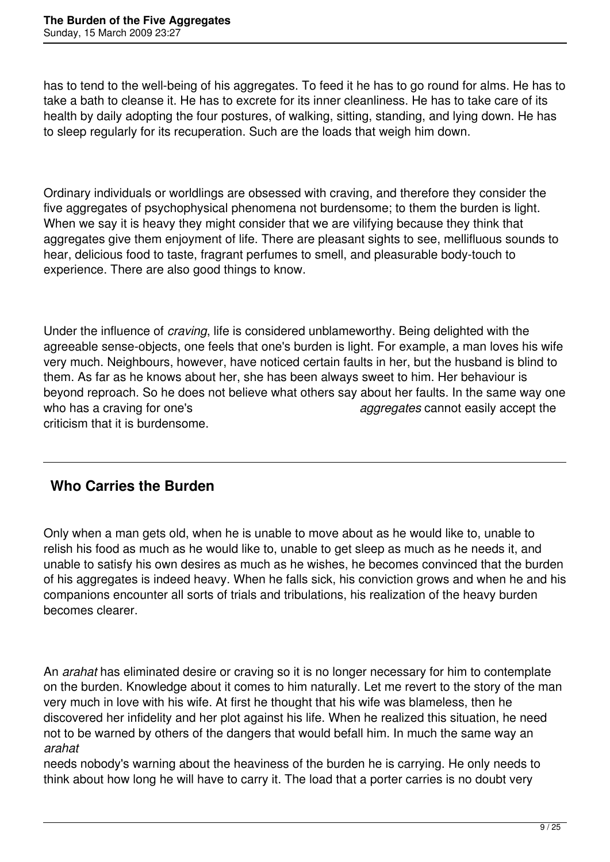has to tend to the well-being of his aggregates. To feed it he has to go round for alms. He has to take a bath to cleanse it. He has to excrete for its inner cleanliness. He has to take care of its health by daily adopting the four postures, of walking, sitting, standing, and lying down. He has to sleep regularly for its recuperation. Such are the loads that weigh him down.

Ordinary individuals or worldlings are obsessed with craving, and therefore they consider the five aggregates of psychophysical phenomena not burdensome; to them the burden is light. When we say it is heavy they might consider that we are vilifying because they think that aggregates give them enjoyment of life. There are pleasant sights to see, mellifluous sounds to hear, delicious food to taste, fragrant perfumes to smell, and pleasurable body-touch to experience. There are also good things to know.

Under the influence of *craving*, life is considered unblameworthy. Being delighted with the agreeable sense-objects, one feels that one's burden is light. For example, a man loves his wife very much. Neighbours, however, have noticed certain faults in her, but the husband is blind to them. As far as he knows about her, she has been always sweet to him. Her behaviour is beyond reproach. So he does not believe what others say about her faults. In the same way one who has a craving for one's *aggregates* cannot easily accept the criticism that it is burdensome.

# **Who Carries the Burden**

Only when a man gets old, when he is unable to move about as he would like to, unable to relish his food as much as he would like to, unable to get sleep as much as he needs it, and unable to satisfy his own desires as much as he wishes, he becomes convinced that the burden of his aggregates is indeed heavy. When he falls sick, his conviction grows and when he and his companions encounter all sorts of trials and tribulations, his realization of the heavy burden becomes clearer.

An *arahat* has eliminated desire or craving so it is no longer necessary for him to contemplate on the burden. Knowledge about it comes to him naturally. Let me revert to the story of the man very much in love with his wife. At first he thought that his wife was blameless, then he discovered her infidelity and her plot against his life. When he realized this situation, he need not to be warned by others of the dangers that would befall him. In much the same way an *arahat*

needs nobody's warning about the heaviness of the burden he is carrying. He only needs to think about how long he will have to carry it. The load that a porter carries is no doubt very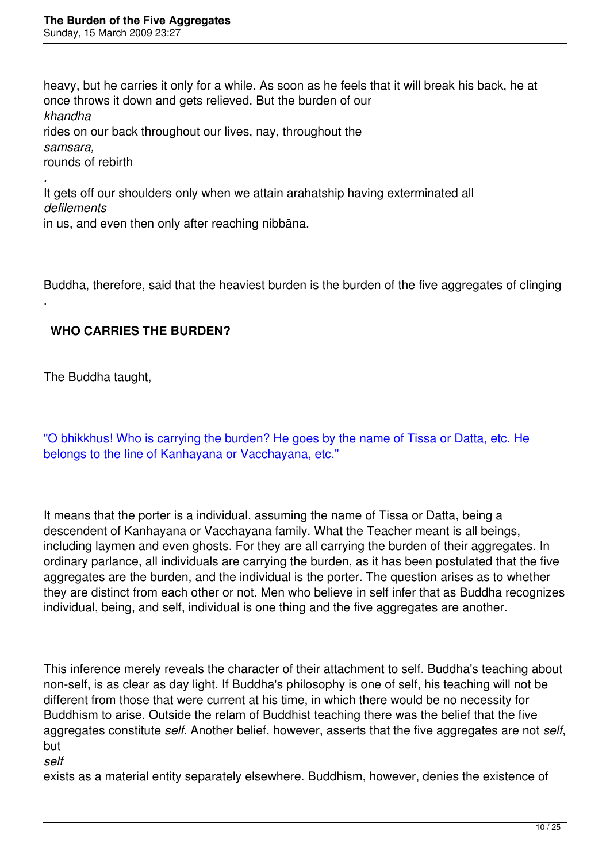heavy, but he carries it only for a while. As soon as he feels that it will break his back, he at once throws it down and gets relieved. But the burden of our *khandha* rides on our back throughout our lives, nay, throughout the *samsara,*  rounds of rebirth

It gets off our shoulders only when we attain arahatship having exterminated all *defilements* in us, and even then only after reaching nibbāna.

Buddha, therefore, said that the heaviest burden is the burden of the five aggregates of clinging

### **WHO CARRIES THE BURDEN?**

The Buddha taught,

*.* 

.

"O bhikkhus! Who is carrying the burden? He goes by the name of Tissa or Datta, etc. He belongs to the line of Kanhayana or Vacchayana, etc."

It means that the porter is a individual, assuming the name of Tissa or Datta, being a descendent of Kanhayana or Vacchayana family. What the Teacher meant is all beings, including laymen and even ghosts. For they are all carrying the burden of their aggregates. In ordinary parlance, all individuals are carrying the burden, as it has been postulated that the five aggregates are the burden, and the individual is the porter. The question arises as to whether they are distinct from each other or not. Men who believe in self infer that as Buddha recognizes individual, being, and self, individual is one thing and the five aggregates are another.

This inference merely reveals the character of their attachment to self. Buddha's teaching about non-self, is as clear as day light. If Buddha's philosophy is one of self, his teaching will not be different from those that were current at his time, in which there would be no necessity for Buddhism to arise. Outside the relam of Buddhist teaching there was the belief that the five aggregates constitute *self*. Another belief, however, asserts that the five aggregates are not *self*, but

*self*

exists as a material entity separately elsewhere. Buddhism, however, denies the existence of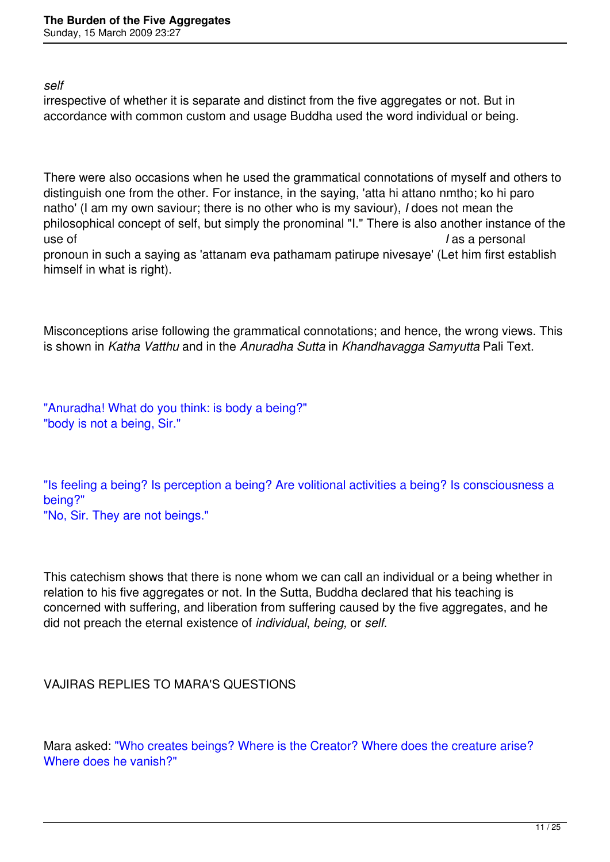*self*

irrespective of whether it is separate and distinct from the five aggregates or not. But in accordance with common custom and usage Buddha used the word individual or being.

There were also occasions when he used the grammatical connotations of myself and others to distinguish one from the other. For instance, in the saying, 'atta hi attano nmtho; ko hi paro natho' (I am my own saviour; there is no other who is my saviour), *I* does not mean the philosophical concept of self, but simply the pronominal "I." There is also another instance of the use of *I* as a personal

pronoun in such a saying as 'attanam eva pathamam patirupe nivesaye' (Let him first establish himself in what is right).

Misconceptions arise following the grammatical connotations; and hence, the wrong views. This is shown in *Katha Vatthu* and in the *Anuradha Sutta* in *Khandhavagga Samyutta* Pali Text.

"Anuradha! What do you think: is body a being?" "body is not a being, Sir."

"Is feeling a being? Is perception a being? Are volitional activities a being? Is consciousness a being?"

"No, Sir. They are not beings."

This catechism shows that there is none whom we can call an individual or a being whether in relation to his five aggregates or not. In the Sutta, Buddha declared that his teaching is concerned with suffering, and liberation from suffering caused by the five aggregates, and he did not preach the eternal existence of *individual*, *being,* or *self*.

VAJIRAS REPLIES TO MARA'S QUESTIONS

Mara asked: "Who creates beings? Where is the Creator? Where does the creature arise? Where does he vanish?"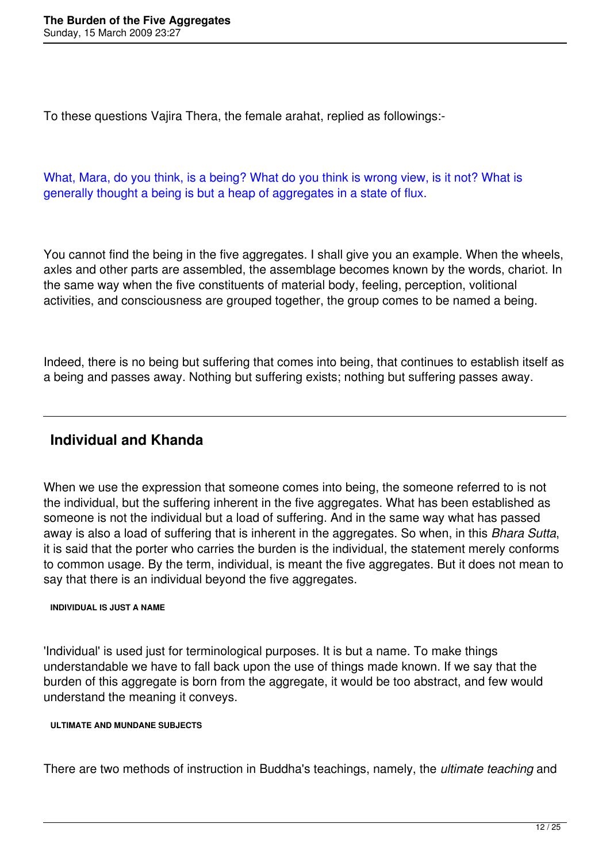To these questions Vajira Thera, the female arahat, replied as followings:-

What, Mara, do you think, is a being? What do you think is wrong view, is it not? What is generally thought a being is but a heap of aggregates in a state of flux.

You cannot find the being in the five aggregates. I shall give you an example. When the wheels, axles and other parts are assembled, the assemblage becomes known by the words, chariot. In the same way when the five constituents of material body, feeling, perception, volitional activities, and consciousness are grouped together, the group comes to be named a being.

Indeed, there is no being but suffering that comes into being, that continues to establish itself as a being and passes away. Nothing but suffering exists; nothing but suffering passes away.

## **Individual and Khanda**

When we use the expression that someone comes into being, the someone referred to is not the individual, but the suffering inherent in the five aggregates. What has been established as someone is not the individual but a load of suffering. And in the same way what has passed away is also a load of suffering that is inherent in the aggregates. So when, in this *Bhara Sutta*, it is said that the porter who carries the burden is the individual, the statement merely conforms to common usage. By the term, individual, is meant the five aggregates. But it does not mean to say that there is an individual beyond the five aggregates.

#### **INDIVIDUAL IS JUST A NAME**

'Individual' is used just for terminological purposes. It is but a name. To make things understandable we have to fall back upon the use of things made known. If we say that the burden of this aggregate is born from the aggregate, it would be too abstract, and few would understand the meaning it conveys.

#### **ULTIMATE AND MUNDANE SUBJECTS**

There are two methods of instruction in Buddha's teachings, namely, the *ultimate teaching* and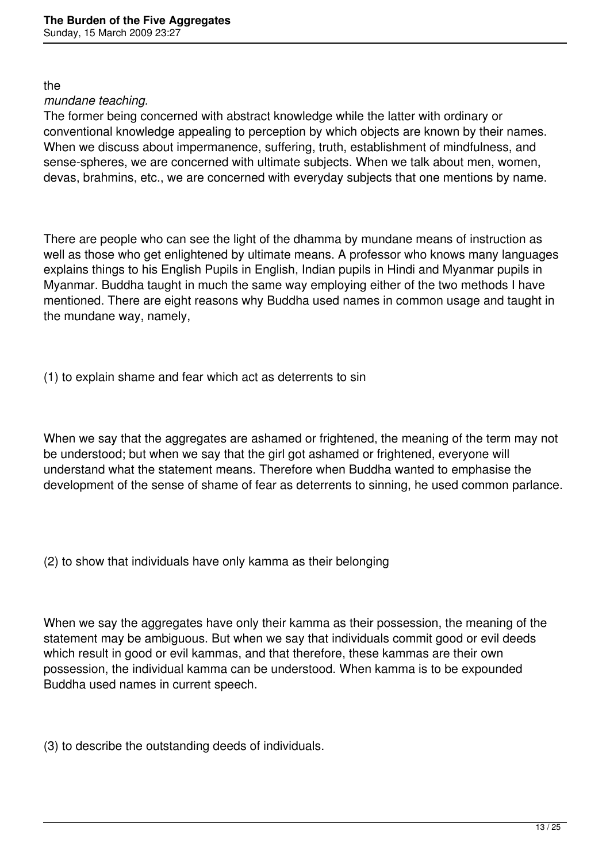the

#### *mundane teaching.*

The former being concerned with abstract knowledge while the latter with ordinary or conventional knowledge appealing to perception by which objects are known by their names. When we discuss about impermanence, suffering, truth, establishment of mindfulness, and sense-spheres, we are concerned with ultimate subjects. When we talk about men, women, devas, brahmins, etc., we are concerned with everyday subjects that one mentions by name.

There are people who can see the light of the dhamma by mundane means of instruction as well as those who get enlightened by ultimate means. A professor who knows many languages explains things to his English Pupils in English, Indian pupils in Hindi and Myanmar pupils in Myanmar. Buddha taught in much the same way employing either of the two methods I have mentioned. There are eight reasons why Buddha used names in common usage and taught in the mundane way, namely,

(1) to explain shame and fear which act as deterrents to sin

When we say that the aggregates are ashamed or frightened, the meaning of the term may not be understood; but when we say that the girl got ashamed or frightened, everyone will understand what the statement means. Therefore when Buddha wanted to emphasise the development of the sense of shame of fear as deterrents to sinning, he used common parlance.

(2) to show that individuals have only kamma as their belonging

When we say the aggregates have only their kamma as their possession, the meaning of the statement may be ambiguous. But when we say that individuals commit good or evil deeds which result in good or evil kammas, and that therefore, these kammas are their own possession, the individual kamma can be understood. When kamma is to be expounded Buddha used names in current speech.

(3) to describe the outstanding deeds of individuals.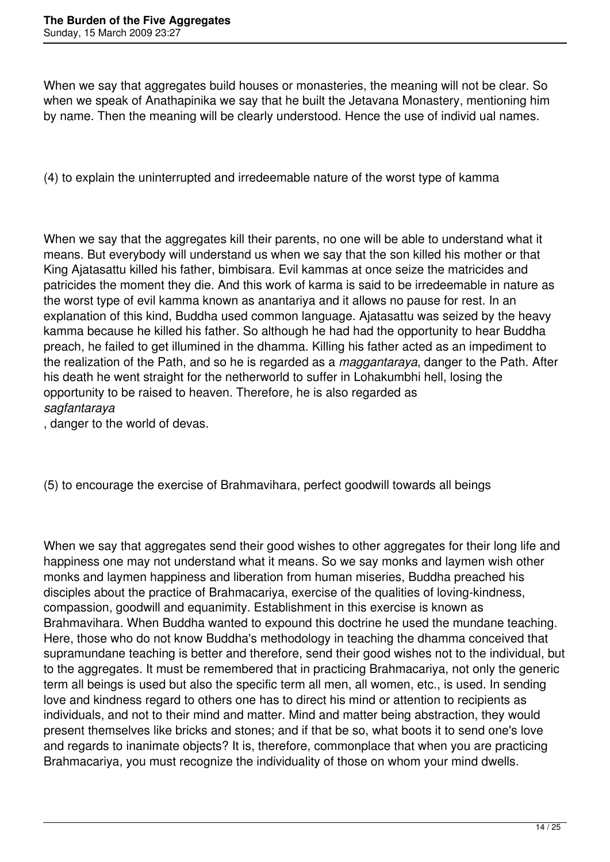When we say that aggregates build houses or monasteries, the meaning will not be clear. So when we speak of Anathapinika we say that he built the Jetavana Monastery, mentioning him by name. Then the meaning will be clearly understood. Hence the use of individ ual names.

(4) to explain the uninterrupted and irredeemable nature of the worst type of kamma

When we say that the aggregates kill their parents, no one will be able to understand what it means. But everybody will understand us when we say that the son killed his mother or that King Ajatasattu killed his father, bimbisara. Evil kammas at once seize the matricides and patricides the moment they die. And this work of karma is said to be irredeemable in nature as the worst type of evil kamma known as anantariya and it allows no pause for rest. In an explanation of this kind, Buddha used common language. Ajatasattu was seized by the heavy kamma because he killed his father. So although he had had the opportunity to hear Buddha preach, he failed to get illumined in the dhamma. Killing his father acted as an impediment to the realization of the Path, and so he is regarded as a *maggantaraya*, danger to the Path. After his death he went straight for the netherworld to suffer in Lohakumbhi hell, losing the opportunity to be raised to heaven. Therefore, he is also regarded as *sagfantaraya*

, danger to the world of devas.

(5) to encourage the exercise of Brahmavihara, perfect goodwill towards all beings

When we say that aggregates send their good wishes to other aggregates for their long life and happiness one may not understand what it means. So we say monks and laymen wish other monks and laymen happiness and liberation from human miseries, Buddha preached his disciples about the practice of Brahmacariya, exercise of the qualities of loving-kindness, compassion, goodwill and equanimity. Establishment in this exercise is known as Brahmavihara. When Buddha wanted to expound this doctrine he used the mundane teaching. Here, those who do not know Buddha's methodology in teaching the dhamma conceived that supramundane teaching is better and therefore, send their good wishes not to the individual, but to the aggregates. It must be remembered that in practicing Brahmacariya, not only the generic term all beings is used but also the specific term all men, all women, etc., is used. In sending love and kindness regard to others one has to direct his mind or attention to recipients as individuals, and not to their mind and matter. Mind and matter being abstraction, they would present themselves like bricks and stones; and if that be so, what boots it to send one's love and regards to inanimate objects? It is, therefore, commonplace that when you are practicing Brahmacariya, you must recognize the individuality of those on whom your mind dwells.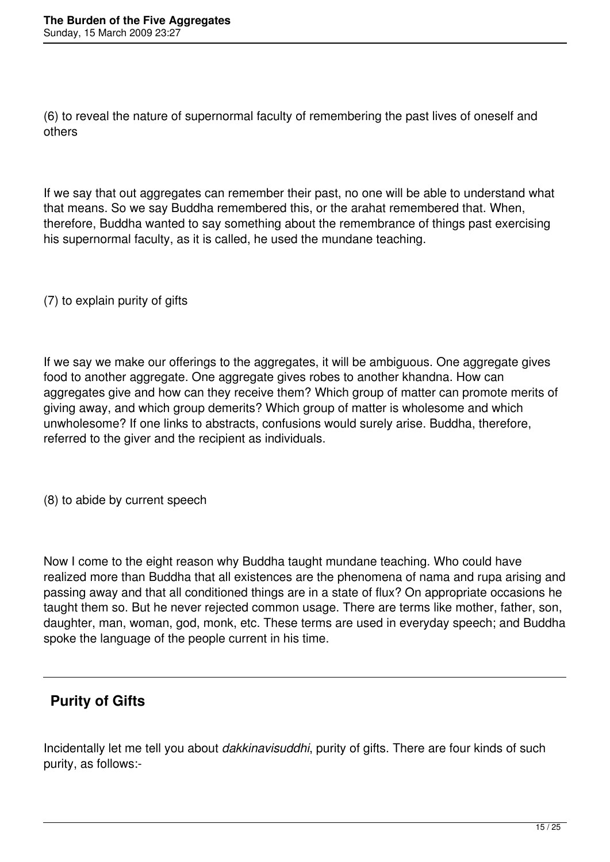(6) to reveal the nature of supernormal faculty of remembering the past lives of oneself and others

If we say that out aggregates can remember their past, no one will be able to understand what that means. So we say Buddha remembered this, or the arahat remembered that. When, therefore, Buddha wanted to say something about the remembrance of things past exercising his supernormal faculty, as it is called, he used the mundane teaching.

(7) to explain purity of gifts

If we say we make our offerings to the aggregates, it will be ambiguous. One aggregate gives food to another aggregate. One aggregate gives robes to another khandna. How can aggregates give and how can they receive them? Which group of matter can promote merits of giving away, and which group demerits? Which group of matter is wholesome and which unwholesome? If one links to abstracts, confusions would surely arise. Buddha, therefore, referred to the giver and the recipient as individuals.

(8) to abide by current speech

Now I come to the eight reason why Buddha taught mundane teaching. Who could have realized more than Buddha that all existences are the phenomena of nama and rupa arising and passing away and that all conditioned things are in a state of flux? On appropriate occasions he taught them so. But he never rejected common usage. There are terms like mother, father, son, daughter, man, woman, god, monk, etc. These terms are used in everyday speech; and Buddha spoke the language of the people current in his time.

# **Purity of Gifts**

Incidentally let me tell you about *dakkinavisuddhi*, purity of gifts. There are four kinds of such purity, as follows:-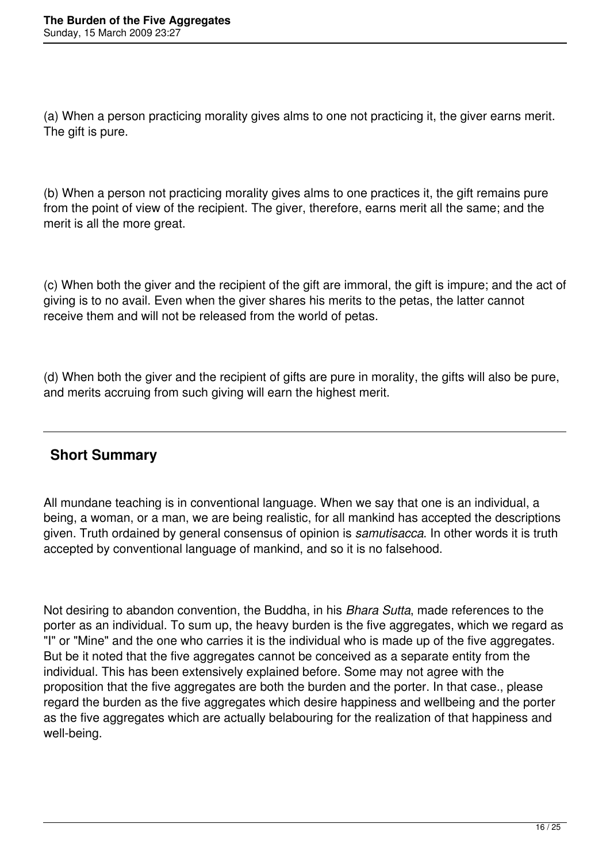(a) When a person practicing morality gives alms to one not practicing it, the giver earns merit. The gift is pure.

(b) When a person not practicing morality gives alms to one practices it, the gift remains pure from the point of view of the recipient. The giver, therefore, earns merit all the same; and the merit is all the more great.

(c) When both the giver and the recipient of the gift are immoral, the gift is impure; and the act of giving is to no avail. Even when the giver shares his merits to the petas, the latter cannot receive them and will not be released from the world of petas.

(d) When both the giver and the recipient of gifts are pure in morality, the gifts will also be pure, and merits accruing from such giving will earn the highest merit.

## **Short Summary**

All mundane teaching is in conventional language. When we say that one is an individual, a being, a woman, or a man, we are being realistic, for all mankind has accepted the descriptions given. Truth ordained by general consensus of opinion is *samutisacca*. In other words it is truth accepted by conventional language of mankind, and so it is no falsehood.

Not desiring to abandon convention, the Buddha, in his *Bhara Sutta*, made references to the porter as an individual. To sum up, the heavy burden is the five aggregates, which we regard as "I" or "Mine" and the one who carries it is the individual who is made up of the five aggregates. But be it noted that the five aggregates cannot be conceived as a separate entity from the individual. This has been extensively explained before. Some may not agree with the proposition that the five aggregates are both the burden and the porter. In that case., please regard the burden as the five aggregates which desire happiness and wellbeing and the porter as the five aggregates which are actually belabouring for the realization of that happiness and well-being.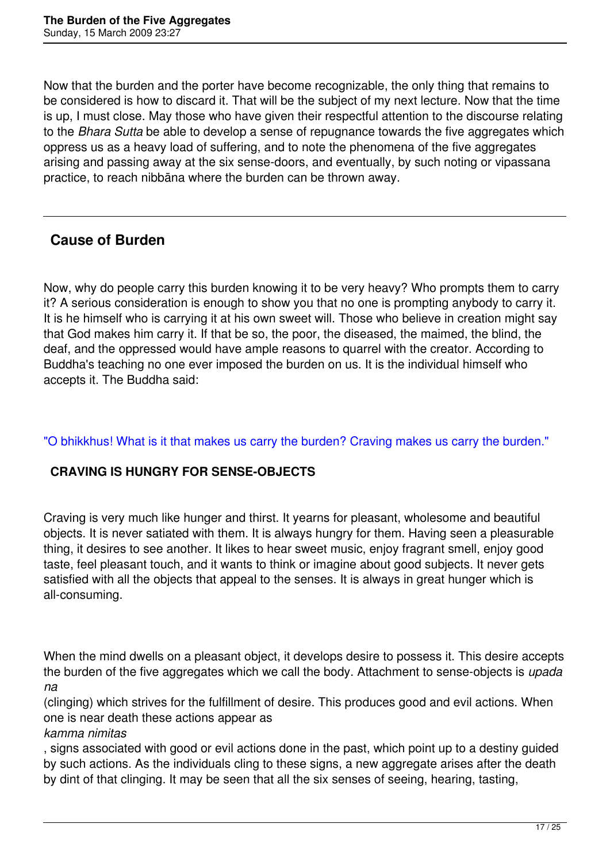Now that the burden and the porter have become recognizable, the only thing that remains to be considered is how to discard it. That will be the subject of my next lecture. Now that the time is up, I must close. May those who have given their respectful attention to the discourse relating to the *Bhara Sutta* be able to develop a sense of repugnance towards the five aggregates which oppress us as a heavy load of suffering, and to note the phenomena of the five aggregates arising and passing away at the six sense-doors, and eventually, by such noting or vipassana practice, to reach nibbāna where the burden can be thrown away.

## **Cause of Burden**

Now, why do people carry this burden knowing it to be very heavy? Who prompts them to carry it? A serious consideration is enough to show you that no one is prompting anybody to carry it. It is he himself who is carrying it at his own sweet will. Those who believe in creation might say that God makes him carry it. If that be so, the poor, the diseased, the maimed, the blind, the deaf, and the oppressed would have ample reasons to quarrel with the creator. According to Buddha's teaching no one ever imposed the burden on us. It is the individual himself who accepts it. The Buddha said:

#### "O bhikkhus! What is it that makes us carry the burden? Craving makes us carry the burden."

### **CRAVING IS HUNGRY FOR SENSE-OBJECTS**

Craving is very much like hunger and thirst. It yearns for pleasant, wholesome and beautiful objects. It is never satiated with them. It is always hungry for them. Having seen a pleasurable thing, it desires to see another. It likes to hear sweet music, enjoy fragrant smell, enjoy good taste, feel pleasant touch, and it wants to think or imagine about good subjects. It never gets satisfied with all the objects that appeal to the senses. It is always in great hunger which is all-consuming.

When the mind dwells on a pleasant object, it develops desire to possess it. This desire accepts the burden of the five aggregates which we call the body. Attachment to sense-objects is *upada na*

(clinging) which strives for the fulfillment of desire. This produces good and evil actions. When one is near death these actions appear as

#### *kamma nimitas*

, signs associated with good or evil actions done in the past, which point up to a destiny guided by such actions. As the individuals cling to these signs, a new aggregate arises after the death by dint of that clinging. It may be seen that all the six senses of seeing, hearing, tasting,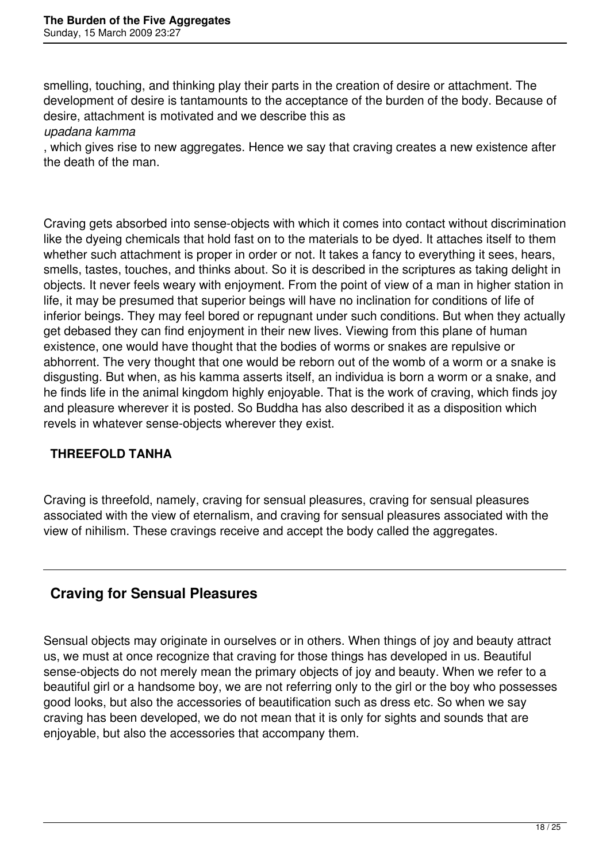smelling, touching, and thinking play their parts in the creation of desire or attachment. The development of desire is tantamounts to the acceptance of the burden of the body. Because of desire, attachment is motivated and we describe this as

#### *upadana kamma*

, which gives rise to new aggregates. Hence we say that craving creates a new existence after the death of the man.

Craving gets absorbed into sense-objects with which it comes into contact without discrimination like the dyeing chemicals that hold fast on to the materials to be dyed. It attaches itself to them whether such attachment is proper in order or not. It takes a fancy to everything it sees, hears, smells, tastes, touches, and thinks about. So it is described in the scriptures as taking delight in objects. It never feels weary with enjoyment. From the point of view of a man in higher station in life, it may be presumed that superior beings will have no inclination for conditions of life of inferior beings. They may feel bored or repugnant under such conditions. But when they actually get debased they can find enjoyment in their new lives. Viewing from this plane of human existence, one would have thought that the bodies of worms or snakes are repulsive or abhorrent. The very thought that one would be reborn out of the womb of a worm or a snake is disgusting. But when, as his kamma asserts itself, an individua is born a worm or a snake, and he finds life in the animal kingdom highly enjoyable. That is the work of craving, which finds joy and pleasure wherever it is posted. So Buddha has also described it as a disposition which revels in whatever sense-objects wherever they exist.

### **THREEFOLD TANHA**

Craving is threefold, namely, craving for sensual pleasures, craving for sensual pleasures associated with the view of eternalism, and craving for sensual pleasures associated with the view of nihilism. These cravings receive and accept the body called the aggregates.

## **Craving for Sensual Pleasures**

Sensual objects may originate in ourselves or in others. When things of joy and beauty attract us, we must at once recognize that craving for those things has developed in us. Beautiful sense-objects do not merely mean the primary objects of joy and beauty. When we refer to a beautiful girl or a handsome boy, we are not referring only to the girl or the boy who possesses good looks, but also the accessories of beautification such as dress etc. So when we say craving has been developed, we do not mean that it is only for sights and sounds that are enjoyable, but also the accessories that accompany them.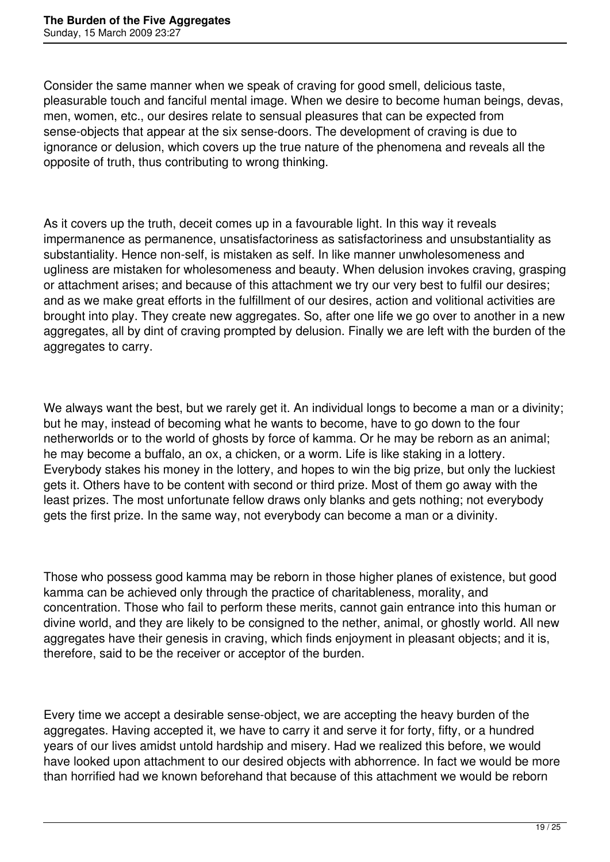Consider the same manner when we speak of craving for good smell, delicious taste, pleasurable touch and fanciful mental image. When we desire to become human beings, devas, men, women, etc., our desires relate to sensual pleasures that can be expected from sense-objects that appear at the six sense-doors. The development of craving is due to ignorance or delusion, which covers up the true nature of the phenomena and reveals all the opposite of truth, thus contributing to wrong thinking.

As it covers up the truth, deceit comes up in a favourable light. In this way it reveals impermanence as permanence, unsatisfactoriness as satisfactoriness and unsubstantiality as substantiality. Hence non-self, is mistaken as self. In like manner unwholesomeness and ugliness are mistaken for wholesomeness and beauty. When delusion invokes craving, grasping or attachment arises; and because of this attachment we try our very best to fulfil our desires; and as we make great efforts in the fulfillment of our desires, action and volitional activities are brought into play. They create new aggregates. So, after one life we go over to another in a new aggregates, all by dint of craving prompted by delusion. Finally we are left with the burden of the aggregates to carry.

We always want the best, but we rarely get it. An individual longs to become a man or a divinity; but he may, instead of becoming what he wants to become, have to go down to the four netherworlds or to the world of ghosts by force of kamma. Or he may be reborn as an animal; he may become a buffalo, an ox, a chicken, or a worm. Life is like staking in a lottery. Everybody stakes his money in the lottery, and hopes to win the big prize, but only the luckiest gets it. Others have to be content with second or third prize. Most of them go away with the least prizes. The most unfortunate fellow draws only blanks and gets nothing; not everybody gets the first prize. In the same way, not everybody can become a man or a divinity.

Those who possess good kamma may be reborn in those higher planes of existence, but good kamma can be achieved only through the practice of charitableness, morality, and concentration. Those who fail to perform these merits, cannot gain entrance into this human or divine world, and they are likely to be consigned to the nether, animal, or ghostly world. All new aggregates have their genesis in craving, which finds enjoyment in pleasant objects; and it is, therefore, said to be the receiver or acceptor of the burden.

Every time we accept a desirable sense-object, we are accepting the heavy burden of the aggregates. Having accepted it, we have to carry it and serve it for forty, fifty, or a hundred years of our lives amidst untold hardship and misery. Had we realized this before, we would have looked upon attachment to our desired objects with abhorrence. In fact we would be more than horrified had we known beforehand that because of this attachment we would be reborn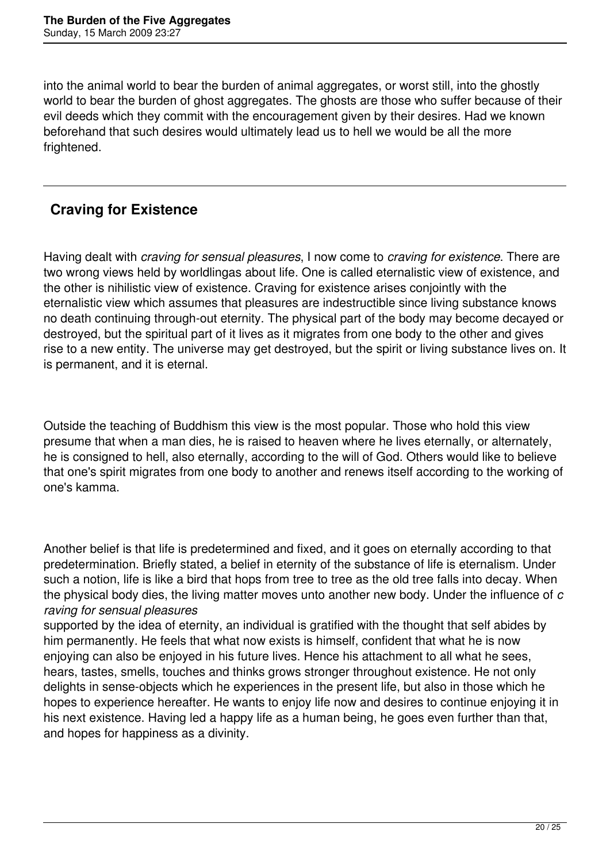into the animal world to bear the burden of animal aggregates, or worst still, into the ghostly world to bear the burden of ghost aggregates. The ghosts are those who suffer because of their evil deeds which they commit with the encouragement given by their desires. Had we known beforehand that such desires would ultimately lead us to hell we would be all the more frightened.

# **Craving for Existence**

Having dealt with *craving for sensual pleasures*, I now come to *craving for existence*. There are two wrong views held by worldlingas about life. One is called eternalistic view of existence, and the other is nihilistic view of existence. Craving for existence arises conjointly with the eternalistic view which assumes that pleasures are indestructible since living substance knows no death continuing through-out eternity. The physical part of the body may become decayed or destroyed, but the spiritual part of it lives as it migrates from one body to the other and gives rise to a new entity. The universe may get destroyed, but the spirit or living substance lives on. It is permanent, and it is eternal.

Outside the teaching of Buddhism this view is the most popular. Those who hold this view presume that when a man dies, he is raised to heaven where he lives eternally, or alternately, he is consigned to hell, also eternally, according to the will of God. Others would like to believe that one's spirit migrates from one body to another and renews itself according to the working of one's kamma.

Another belief is that life is predetermined and fixed, and it goes on eternally according to that predetermination. Briefly stated, a belief in eternity of the substance of life is eternalism. Under such a notion, life is like a bird that hops from tree to tree as the old tree falls into decay. When the physical body dies, the living matter moves unto another new body. Under the influence of *c raving for sensual pleasures* 

supported by the idea of eternity, an individual is gratified with the thought that self abides by him permanently. He feels that what now exists is himself, confident that what he is now enjoying can also be enjoyed in his future lives. Hence his attachment to all what he sees, hears, tastes, smells, touches and thinks grows stronger throughout existence. He not only delights in sense-objects which he experiences in the present life, but also in those which he hopes to experience hereafter. He wants to enjoy life now and desires to continue enjoying it in his next existence. Having led a happy life as a human being, he goes even further than that, and hopes for happiness as a divinity.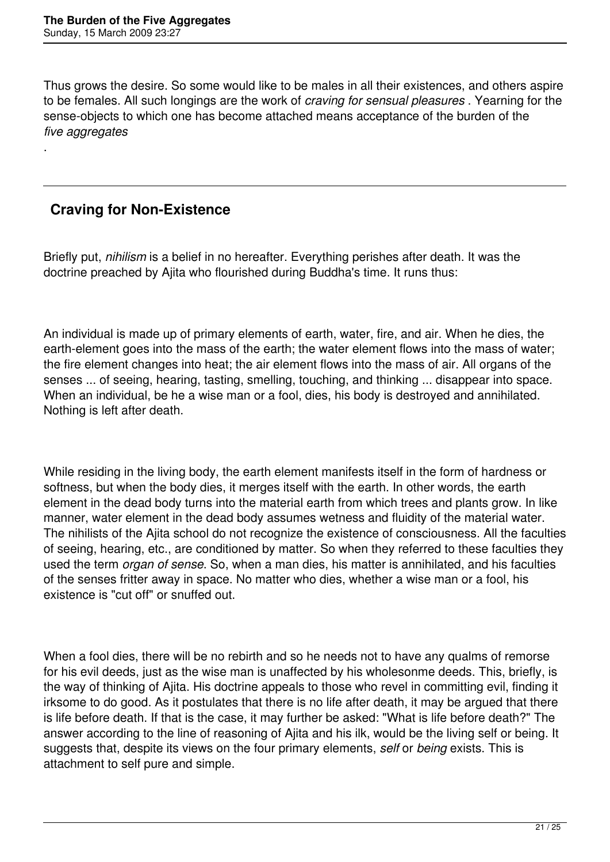Thus grows the desire. So some would like to be males in all their existences, and others aspire to be females. All such longings are the work of *craving for sensual pleasures* . Yearning for the sense-objects to which one has become attached means acceptance of the burden of the *five aggregates*

# **Craving for Non-Existence**

.

Briefly put, *nihilism* is a belief in no hereafter. Everything perishes after death. It was the doctrine preached by Ajita who flourished during Buddha's time. It runs thus:

An individual is made up of primary elements of earth, water, fire, and air. When he dies, the earth-element goes into the mass of the earth; the water element flows into the mass of water; the fire element changes into heat; the air element flows into the mass of air. All organs of the senses ... of seeing, hearing, tasting, smelling, touching, and thinking ... disappear into space. When an individual, be he a wise man or a fool, dies, his body is destroyed and annihilated. Nothing is left after death.

While residing in the living body, the earth element manifests itself in the form of hardness or softness, but when the body dies, it merges itself with the earth. In other words, the earth element in the dead body turns into the material earth from which trees and plants grow. In like manner, water element in the dead body assumes wetness and fluidity of the material water. The nihilists of the Ajita school do not recognize the existence of consciousness. All the faculties of seeing, hearing, etc., are conditioned by matter. So when they referred to these faculties they used the term *organ of sense*. So, when a man dies, his matter is annihilated, and his faculties of the senses fritter away in space. No matter who dies, whether a wise man or a fool, his existence is "cut off" or snuffed out.

When a fool dies, there will be no rebirth and so he needs not to have any qualms of remorse for his evil deeds, just as the wise man is unaffected by his wholesonme deeds. This, briefly, is the way of thinking of Ajita. His doctrine appeals to those who revel in committing evil, finding it irksome to do good. As it postulates that there is no life after death, it may be argued that there is life before death. If that is the case, it may further be asked: "What is life before death?" The answer according to the line of reasoning of Ajita and his ilk, would be the living self or being. It suggests that, despite its views on the four primary elements, *self* or *being* exists. This is attachment to self pure and simple.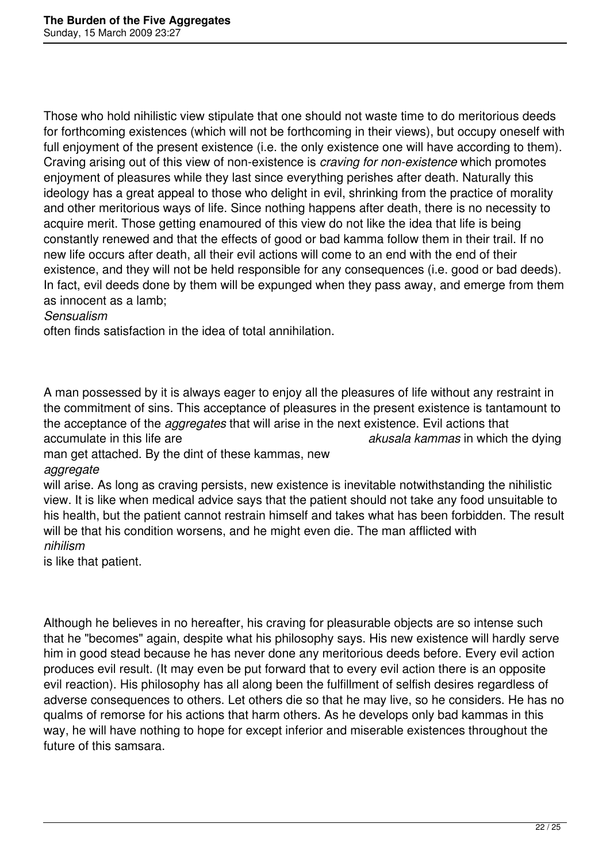Those who hold nihilistic view stipulate that one should not waste time to do meritorious deeds for forthcoming existences (which will not be forthcoming in their views), but occupy oneself with full enjoyment of the present existence (i.e. the only existence one will have according to them). Craving arising out of this view of non-existence is *craving for non-existence* which promotes enjoyment of pleasures while they last since everything perishes after death. Naturally this ideology has a great appeal to those who delight in evil, shrinking from the practice of morality and other meritorious ways of life. Since nothing happens after death, there is no necessity to acquire merit. Those getting enamoured of this view do not like the idea that life is being constantly renewed and that the effects of good or bad kamma follow them in their trail. If no new life occurs after death, all their evil actions will come to an end with the end of their existence, and they will not be held responsible for any consequences (i.e. good or bad deeds). In fact, evil deeds done by them will be expunged when they pass away, and emerge from them as innocent as a lamb;

#### *Sensualism*

often finds satisfaction in the idea of total annihilation.

A man possessed by it is always eager to enjoy all the pleasures of life without any restraint in the commitment of sins. This acceptance of pleasures in the present existence is tantamount to the acceptance of the *aggregates* that will arise in the next existence. Evil actions that accumulate in this life are *akusala kammas* in which the dying

man get attached. By the dint of these kammas, new

*aggregate*

will arise. As long as craving persists, new existence is inevitable notwithstanding the nihilistic view. It is like when medical advice says that the patient should not take any food unsuitable to his health, but the patient cannot restrain himself and takes what has been forbidden. The result will be that his condition worsens, and he might even die. The man afflicted with *nihilism*

is like that patient.

Although he believes in no hereafter, his craving for pleasurable objects are so intense such that he "becomes" again, despite what his philosophy says. His new existence will hardly serve him in good stead because he has never done any meritorious deeds before. Every evil action produces evil result. (It may even be put forward that to every evil action there is an opposite evil reaction). His philosophy has all along been the fulfillment of selfish desires regardless of adverse consequences to others. Let others die so that he may live, so he considers. He has no qualms of remorse for his actions that harm others. As he develops only bad kammas in this way, he will have nothing to hope for except inferior and miserable existences throughout the future of this samsara.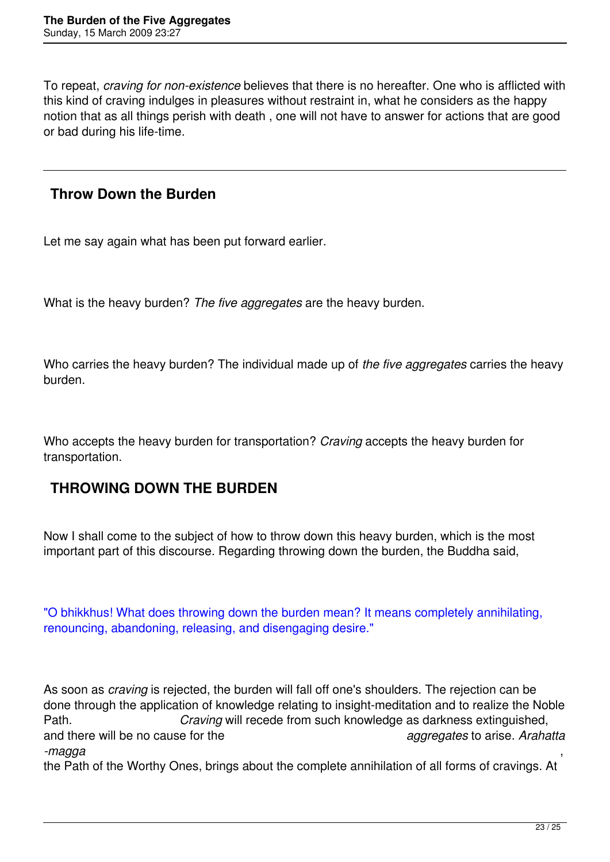To repeat, *craving for non-existence* believes that there is no hereafter. One who is afflicted with this kind of craving indulges in pleasures without restraint in, what he considers as the happy notion that as all things perish with death , one will not have to answer for actions that are good or bad during his life-time.

### **Throw Down the Burden**

Let me say again what has been put forward earlier.

What is the heavy burden? *The five aggregates* are the heavy burden.

Who carries the heavy burden? The individual made up of *the five aggregates* carries the heavy burden.

Who accepts the heavy burden for transportation? *Craving* accepts the heavy burden for transportation.

# **THROWING DOWN THE BURDEN**

Now I shall come to the subject of how to throw down this heavy burden, which is the most important part of this discourse. Regarding throwing down the burden, the Buddha said,

"O bhikkhus! What does throwing down the burden mean? It means completely annihilating, renouncing, abandoning, releasing, and disengaging desire."

As soon as *craving* is rejected, the burden will fall off one's shoulders. The rejection can be done through the application of knowledge relating to insight-meditation and to realize the Noble Path. *Craving* will recede from such knowledge as darkness extinguished, and there will be no cause for the *aggregates* to arise. *Arahatta -magga* ,

the Path of the Worthy Ones, brings about the complete annihilation of all forms of cravings. At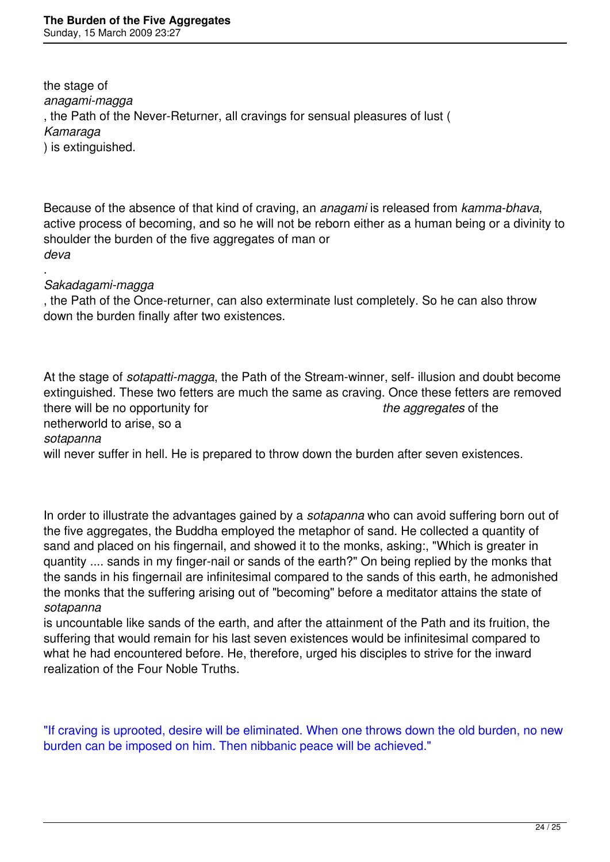the stage of *anagami-magga* , the Path of the Never-Returner, all cravings for sensual pleasures of lust ( *Kamaraga* ) is extinguished.

Because of the absence of that kind of craving, an *anagami* is released from *kamma-bhava*, active process of becoming, and so he will not be reborn either as a human being or a divinity to shoulder the burden of the five aggregates of man or *deva*

. *Sakadagami-magga*

, the Path of the Once-returner, can also exterminate lust completely. So he can also throw down the burden finally after two existences.

At the stage of *sotapatti-magga*, the Path of the Stream-winner, self- illusion and doubt become extinguished. These two fetters are much the same as craving. Once these fetters are removed there will be no opportunity for *the aggregates* of the netherworld to arise, so a

*sotapanna*

will never suffer in hell. He is prepared to throw down the burden after seven existences.

In order to illustrate the advantages gained by a *sotapanna* who can avoid suffering born out of the five aggregates, the Buddha employed the metaphor of sand. He collected a quantity of sand and placed on his fingernail, and showed it to the monks, asking:, "Which is greater in quantity .... sands in my finger-nail or sands of the earth?" On being replied by the monks that the sands in his fingernail are infinitesimal compared to the sands of this earth, he admonished the monks that the suffering arising out of "becoming" before a meditator attains the state of *sotapanna*

is uncountable like sands of the earth, and after the attainment of the Path and its fruition, the suffering that would remain for his last seven existences would be infinitesimal compared to what he had encountered before. He, therefore, urged his disciples to strive for the inward realization of the Four Noble Truths.

"If craving is uprooted, desire will be eliminated. When one throws down the old burden, no new burden can be imposed on him. Then nibbanic peace will be achieved."